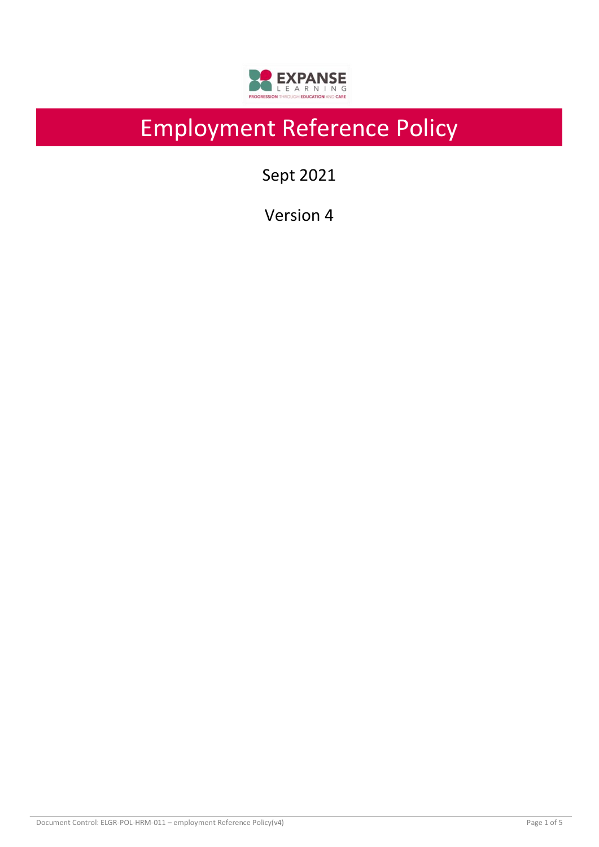

# Employment Reference Policy

Sept 2021

Version 4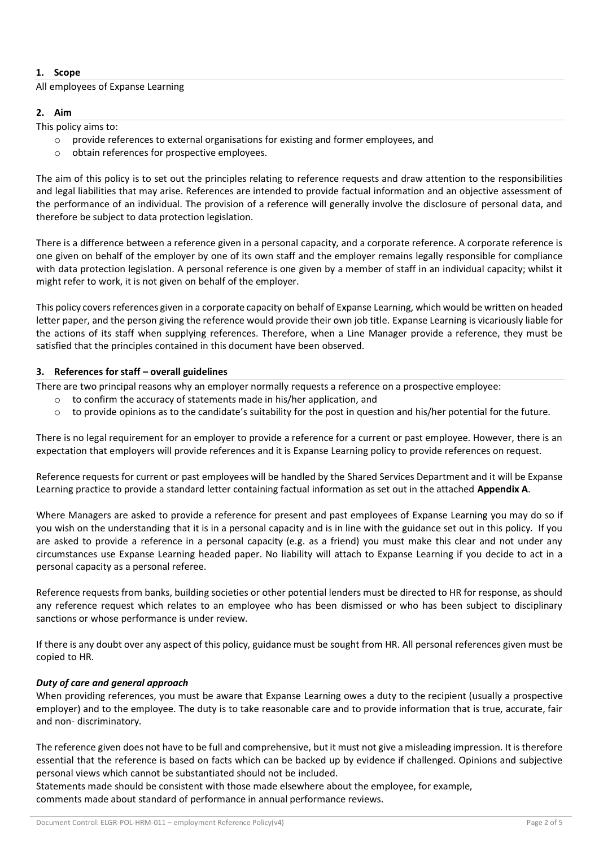# **1. Scope**

## All employees of Expanse Learning

## **2. Aim**

This policy aims to:

- $\circ$  provide references to external organisations for existing and former employees, and
- o obtain references for prospective employees.

The aim of this policy is to set out the principles relating to reference requests and draw attention to the responsibilities and legal liabilities that may arise. References are intended to provide factual information and an objective assessment of the performance of an individual. The provision of a reference will generally involve the disclosure of personal data, and therefore be subject to data protection legislation.

There is a difference between a reference given in a personal capacity, and a corporate reference. A corporate reference is one given on behalf of the employer by one of its own staff and the employer remains legally responsible for compliance with data protection legislation. A personal reference is one given by a member of staff in an individual capacity; whilst it might refer to work, it is not given on behalf of the employer.

This policy covers references given in a corporate capacity on behalf of Expanse Learning, which would be written on headed letter paper, and the person giving the reference would provide their own job title. Expanse Learning is vicariously liable for the actions of its staff when supplying references. Therefore, when a Line Manager provide a reference, they must be satisfied that the principles contained in this document have been observed.

# **3. References for staff – overall guidelines**

There are two principal reasons why an employer normally requests a reference on a prospective employee:

- o to confirm the accuracy of statements made in his/her application, and
- o to provide opinions as to the candidate's suitability for the post in question and his/her potential for the future.

There is no legal requirement for an employer to provide a reference for a current or past employee. However, there is an expectation that employers will provide references and it is Expanse Learning policy to provide references on request.

Reference requests for current or past employees will be handled by the Shared Services Department and it will be Expanse Learning practice to provide a standard letter containing factual information as set out in the attached **Appendix A**.

Where Managers are asked to provide a reference for present and past employees of Expanse Learning you may do so if you wish on the understanding that it is in a personal capacity and is in line with the guidance set out in this policy. If you are asked to provide a reference in a personal capacity (e.g. as a friend) you must make this clear and not under any circumstances use Expanse Learning headed paper. No liability will attach to Expanse Learning if you decide to act in a personal capacity as a personal referee.

Reference requests from banks, building societies or other potential lenders must be directed to HR for response, as should any reference request which relates to an employee who has been dismissed or who has been subject to disciplinary sanctions or whose performance is under review.

If there is any doubt over any aspect of this policy, guidance must be sought from HR. All personal references given must be copied to HR.

# *Duty of care and general approach*

When providing references, you must be aware that Expanse Learning owes a duty to the recipient (usually a prospective employer) and to the employee. The duty is to take reasonable care and to provide information that is true, accurate, fair and non- discriminatory.

The reference given does not have to be full and comprehensive, but it must not give a misleading impression. It is therefore essential that the reference is based on facts which can be backed up by evidence if challenged. Opinions and subjective personal views which cannot be substantiated should not be included.

Statements made should be consistent with those made elsewhere about the employee, for example, comments made about standard of performance in annual performance reviews.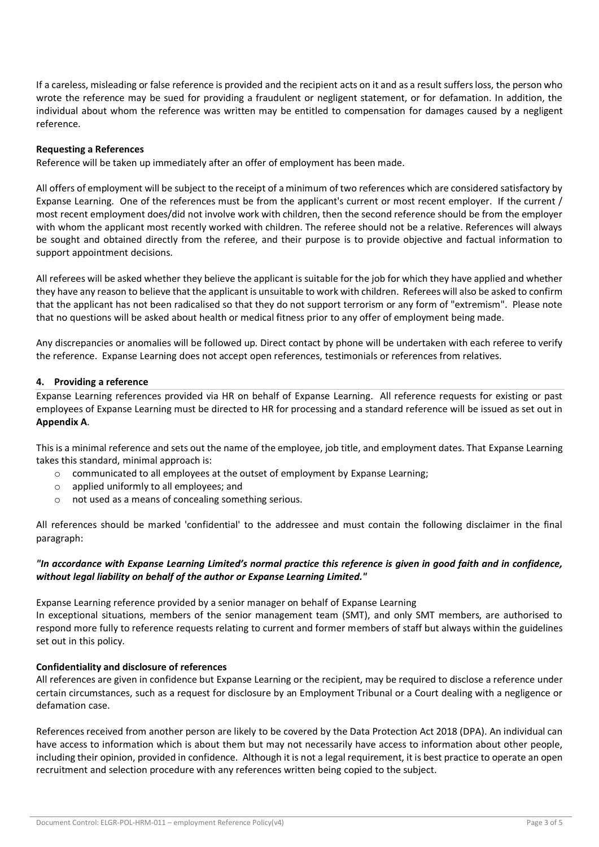If a careless, misleading or false reference is provided and the recipient acts on it and as a result suffers loss, the person who wrote the reference may be sued for providing a fraudulent or negligent statement, or for defamation. In addition, the individual about whom the reference was written may be entitled to compensation for damages caused by a negligent reference.

## **Requesting a References**

Reference will be taken up immediately after an offer of employment has been made.

All offers of employment will be subject to the receipt of a minimum of two references which are considered satisfactory by Expanse Learning. One of the references must be from the applicant's current or most recent employer. If the current / most recent employment does/did not involve work with children, then the second reference should be from the employer with whom the applicant most recently worked with children. The referee should not be a relative. References will always be sought and obtained directly from the referee, and their purpose is to provide objective and factual information to support appointment decisions.

All referees will be asked whether they believe the applicant is suitable for the job for which they have applied and whether they have any reason to believe that the applicant is unsuitable to work with children. Referees will also be asked to confirm that the applicant has not been radicalised so that they do not support terrorism or any form of "extremism". Please note that no questions will be asked about health or medical fitness prior to any offer of employment being made.

Any discrepancies or anomalies will be followed up. Direct contact by phone will be undertaken with each referee to verify the reference. Expanse Learning does not accept open references, testimonials or references from relatives.

## **4. Providing a reference**

Expanse Learning references provided via HR on behalf of Expanse Learning. All reference requests for existing or past employees of Expanse Learning must be directed to HR for processing and a standard reference will be issued as set out in **Appendix A**.

This is a minimal reference and sets out the name of the employee, job title, and employment dates. That Expanse Learning takes this standard, minimal approach is:

- o communicated to all employees at the outset of employment by Expanse Learning;
- o applied uniformly to all employees; and
- o not used as a means of concealing something serious.

All references should be marked 'confidential' to the addressee and must contain the following disclaimer in the final paragraph:

# *"In accordance with Expanse Learning Limited's normal practice this reference is given in good faith and in confidence, without legal liability on behalf of the author or Expanse Learning Limited."*

Expanse Learning reference provided by a senior manager on behalf of Expanse Learning In exceptional situations, members of the senior management team (SMT), and only SMT members, are authorised to respond more fully to reference requests relating to current and former members of staff but always within the guidelines set out in this policy.

#### **Confidentiality and disclosure of references**

All references are given in confidence but Expanse Learning or the recipient, may be required to disclose a reference under certain circumstances, such as a request for disclosure by an Employment Tribunal or a Court dealing with a negligence or defamation case.

References received from another person are likely to be covered by the Data Protection Act 2018 (DPA). An individual can have access to information which is about them but may not necessarily have access to information about other people, including their opinion, provided in confidence. Although it is not a legal requirement, it is best practice to operate an open recruitment and selection procedure with any references written being copied to the subject.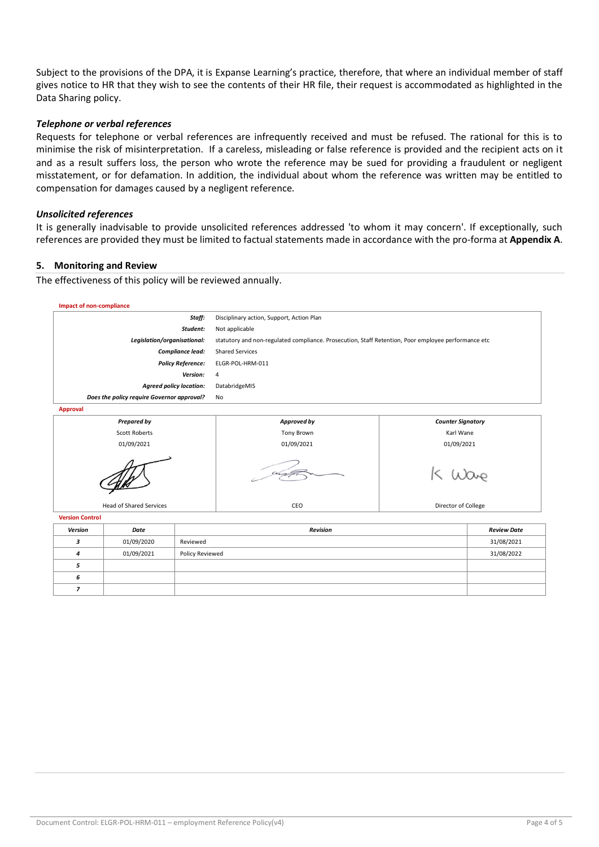Subject to the provisions of the DPA, it is Expanse Learning's practice, therefore, that where an individual member of staff gives notice to HR that they wish to see the contents of their HR file, their request is accommodated as highlighted in the Data Sharing policy.

## *Telephone or verbal references*

Requests for telephone or verbal references are infrequently received and must be refused. The rational for this is to minimise the risk of misinterpretation. If a careless, misleading or false reference is provided and the recipient acts on it and as a result suffers loss, the person who wrote the reference may be sued for providing a fraudulent or negligent misstatement, or for defamation. In addition, the individual about whom the reference was written may be entitled to compensation for damages caused by a negligent reference.

#### *Unsolicited references*

It is generally inadvisable to provide unsolicited references addressed 'to whom it may concern'. If exceptionally, such references are provided they must be limited to factual statements made in accordance with the pro-forma at **Appendix A**.

#### **5. Monitoring and Review**

The effectiveness of this policy will be reviewed annually.